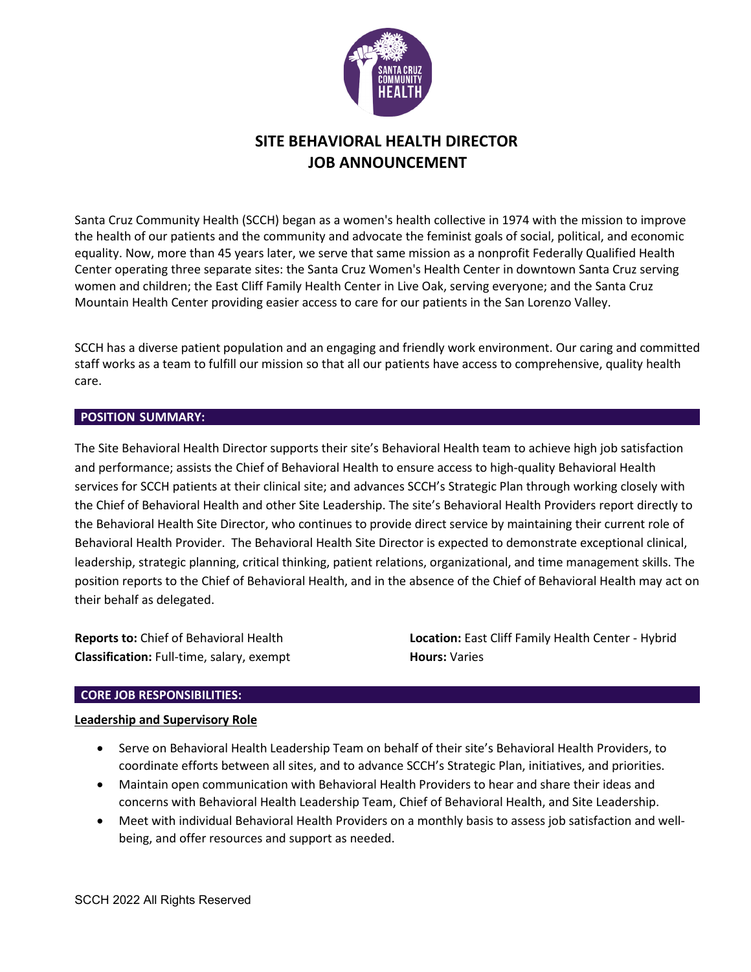

# **SITE BEHAVIORAL HEALTH DIRECTOR JOB ANNOUNCEMENT**

Santa Cruz Community Health (SCCH) began as a women's health collective in 1974 with the mission to improve the health of our patients and the community and advocate the feminist goals of social, political, and economic equality. Now, more than 45 years later, we serve that same mission as a nonprofit Federally Qualified Health Center operating three separate sites: the Santa Cruz Women's Health Center in downtown Santa Cruz serving women and children; the East Cliff Family Health Center in Live Oak, serving everyone; and the Santa Cruz Mountain Health Center providing easier access to care for our patients in the San Lorenzo Valley.

SCCH has a diverse patient population and an engaging and friendly work environment. Our caring and committed staff works as a team to fulfill our mission so that all our patients have access to comprehensive, quality health care.

#### **POSITION SUMMARY:**

The Site Behavioral Health Director supports their site's Behavioral Health team to achieve high job satisfaction and performance; assists the Chief of Behavioral Health to ensure access to high-quality Behavioral Health services for SCCH patients at their clinical site; and advances SCCH's Strategic Plan through working closely with the Chief of Behavioral Health and other Site Leadership. The site's Behavioral Health Providers report directly to the Behavioral Health Site Director, who continues to provide direct service by maintaining their current role of Behavioral Health Provider. The Behavioral Health Site Director is expected to demonstrate exceptional clinical, leadership, strategic planning, critical thinking, patient relations, organizational, and time management skills. The position reports to the Chief of Behavioral Health, and in the absence of the Chief of Behavioral Health may act on their behalf as delegated.

**Reports to:** Chief of Behavioral Health **Classification:** Full-time, salary, exempt **Location:** East Cliff Family Health Center - Hybrid **Hours:** Varies

### **CORE JOB RESPONSIBILITIES:**

### **Leadership and Supervisory Role**

- Serve on Behavioral Health Leadership Team on behalf of their site's Behavioral Health Providers, to coordinate efforts between all sites, and to advance SCCH's Strategic Plan, initiatives, and priorities.
- Maintain open communication with Behavioral Health Providers to hear and share their ideas and concerns with Behavioral Health Leadership Team, Chief of Behavioral Health, and Site Leadership.
- Meet with individual Behavioral Health Providers on a monthly basis to assess job satisfaction and wellbeing, and offer resources and support as needed.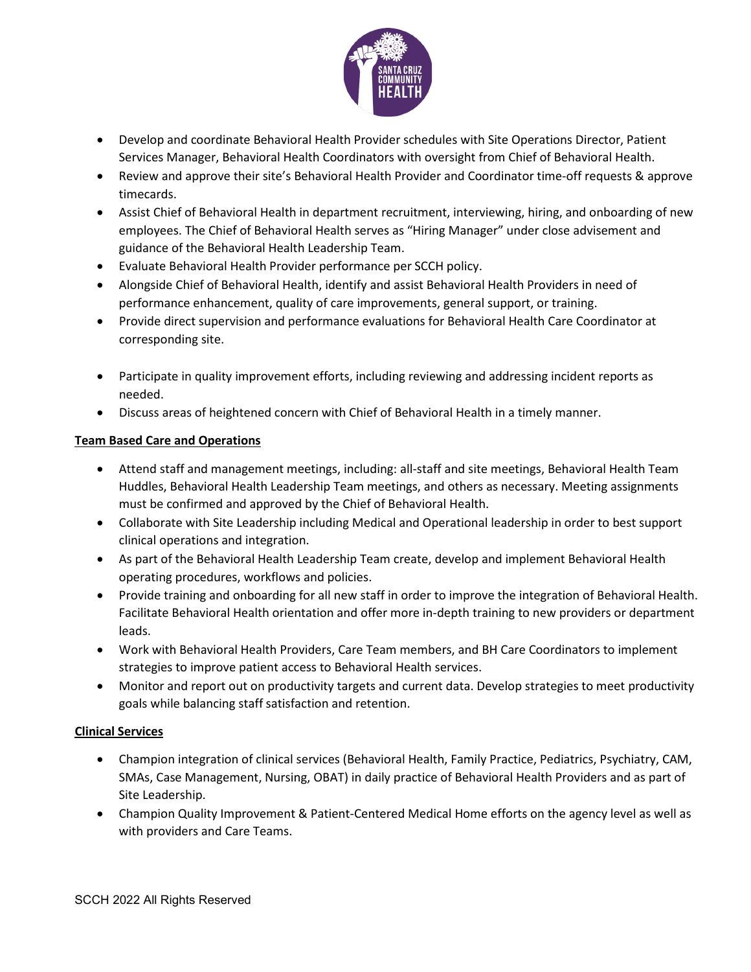

- Develop and coordinate Behavioral Health Provider schedules with Site Operations Director, Patient Services Manager, Behavioral Health Coordinators with oversight from Chief of Behavioral Health.
- Review and approve their site's Behavioral Health Provider and Coordinator time-off requests & approve timecards.
- Assist Chief of Behavioral Health in department recruitment, interviewing, hiring, and onboarding of new employees. The Chief of Behavioral Health serves as "Hiring Manager" under close advisement and guidance of the Behavioral Health Leadership Team.
- Evaluate Behavioral Health Provider performance per SCCH policy.
- Alongside Chief of Behavioral Health, identify and assist Behavioral Health Providers in need of performance enhancement, quality of care improvements, general support, or training.
- Provide direct supervision and performance evaluations for Behavioral Health Care Coordinator at corresponding site.
- Participate in quality improvement efforts, including reviewing and addressing incident reports as needed.
- Discuss areas of heightened concern with Chief of Behavioral Health in a timely manner.

# **Team Based Care and Operations**

- Attend staff and management meetings, including: all-staff and site meetings, Behavioral Health Team Huddles, Behavioral Health Leadership Team meetings, and others as necessary. Meeting assignments must be confirmed and approved by the Chief of Behavioral Health.
- Collaborate with Site Leadership including Medical and Operational leadership in order to best support clinical operations and integration.
- As part of the Behavioral Health Leadership Team create, develop and implement Behavioral Health operating procedures, workflows and policies.
- Provide training and onboarding for all new staff in order to improve the integration of Behavioral Health. Facilitate Behavioral Health orientation and offer more in-depth training to new providers or department leads.
- Work with Behavioral Health Providers, Care Team members, and BH Care Coordinators to implement strategies to improve patient access to Behavioral Health services.
- Monitor and report out on productivity targets and current data. Develop strategies to meet productivity goals while balancing staff satisfaction and retention.

# **Clinical Services**

- Champion integration of clinical services (Behavioral Health, Family Practice, Pediatrics, Psychiatry, CAM, SMAs, Case Management, Nursing, OBAT) in daily practice of Behavioral Health Providers and as part of Site Leadership.
- Champion Quality Improvement & Patient-Centered Medical Home efforts on the agency level as well as with providers and Care Teams.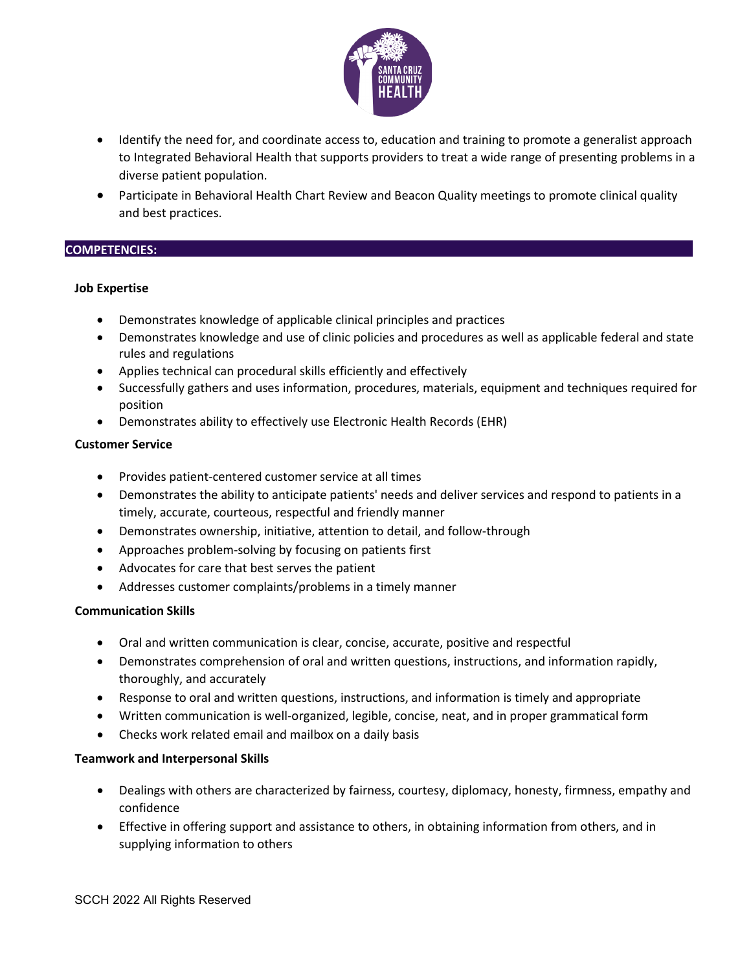

- Identify the need for, and coordinate access to, education and training to promote a generalist approach to Integrated Behavioral Health that supports providers to treat a wide range of presenting problems in a diverse patient population.
- Participate in Behavioral Health Chart Review and Beacon Quality meetings to promote clinical quality and best practices.

### **COMPETENCIES:**

### **Job Expertise**

- Demonstrates knowledge of applicable clinical principles and practices
- Demonstrates knowledge and use of clinic policies and procedures as well as applicable federal and state rules and regulations
- Applies technical can procedural skills efficiently and effectively
- Successfully gathers and uses information, procedures, materials, equipment and techniques required for position
- Demonstrates ability to effectively use Electronic Health Records (EHR)

### **Customer Service**

- Provides patient-centered customer service at all times
- Demonstrates the ability to anticipate patients' needs and deliver services and respond to patients in a timely, accurate, courteous, respectful and friendly manner
- Demonstrates ownership, initiative, attention to detail, and follow-through
- Approaches problem-solving by focusing on patients first
- Advocates for care that best serves the patient
- Addresses customer complaints/problems in a timely manner

### **Communication Skills**

- Oral and written communication is clear, concise, accurate, positive and respectful
- Demonstrates comprehension of oral and written questions, instructions, and information rapidly, thoroughly, and accurately
- Response to oral and written questions, instructions, and information is timely and appropriate
- Written communication is well-organized, legible, concise, neat, and in proper grammatical form
- Checks work related email and mailbox on a daily basis

### **Teamwork and Interpersonal Skills**

- Dealings with others are characterized by fairness, courtesy, diplomacy, honesty, firmness, empathy and confidence
- Effective in offering support and assistance to others, in obtaining information from others, and in supplying information to others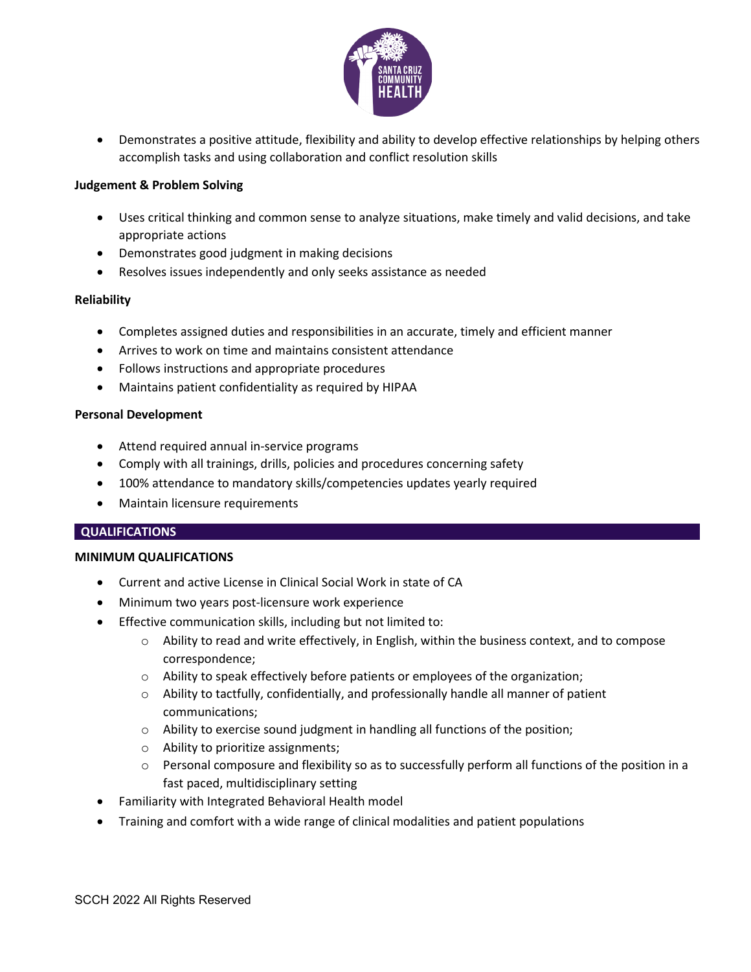

• Demonstrates a positive attitude, flexibility and ability to develop effective relationships by helping others accomplish tasks and using collaboration and conflict resolution skills

### **Judgement & Problem Solving**

- Uses critical thinking and common sense to analyze situations, make timely and valid decisions, and take appropriate actions
- Demonstrates good judgment in making decisions
- Resolves issues independently and only seeks assistance as needed

## **Reliability**

- Completes assigned duties and responsibilities in an accurate, timely and efficient manner
- Arrives to work on time and maintains consistent attendance
- Follows instructions and appropriate procedures
- Maintains patient confidentiality as required by HIPAA

### **Personal Development**

- Attend required annual in-service programs
- Comply with all trainings, drills, policies and procedures concerning safety
- 100% attendance to mandatory skills/competencies updates yearly required
- Maintain licensure requirements

### **QUALIFICATIONS**

### **MINIMUM QUALIFICATIONS**

- Current and active License in Clinical Social Work in state of CA
- Minimum two years post-licensure work experience
- Effective communication skills, including but not limited to:
	- o Ability to read and write effectively, in English, within the business context, and to compose correspondence;
	- o Ability to speak effectively before patients or employees of the organization;
	- o Ability to tactfully, confidentially, and professionally handle all manner of patient communications;
	- o Ability to exercise sound judgment in handling all functions of the position;
	- o Ability to prioritize assignments;
	- $\circ$  Personal composure and flexibility so as to successfully perform all functions of the position in a fast paced, multidisciplinary setting
- Familiarity with Integrated Behavioral Health model
- Training and comfort with a wide range of clinical modalities and patient populations